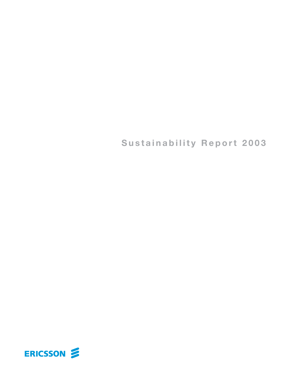**Sustainability Report 2003**

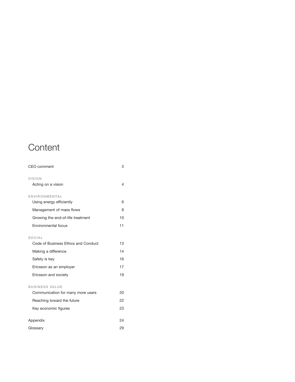# **Content**

| CEO comment                         | 3  |
|-------------------------------------|----|
| <b>VISION</b><br>Acting on a vision | 4  |
| <b>ENVIRONMENTAL</b>                |    |
| Using energy efficiently            | 6  |
| Management of mass flows            | 8  |
| Growing the end-of-life treatment   | 10 |
| Environmental focus                 | 11 |
| SOCIAL                              |    |
| Code of Business Ethics and Conduct | 13 |
| Making a difference                 | 14 |
| Safety is key                       | 16 |
| Ericsson as an employer             | 17 |
| Ericsson and society                | 19 |
| <b>BUSINESS VALUE</b>               |    |
| Communication for many more users   | 20 |
| Reaching toward the future          | 22 |
| Key economic figures                | 23 |
| Appendix                            | 24 |
| Glossary                            | 29 |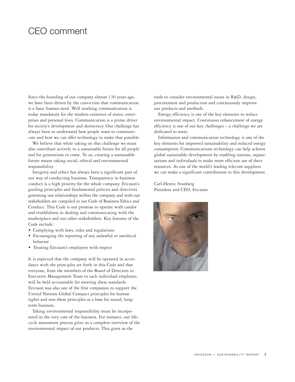## CEO comment

Since the founding of our company almost 130 years ago, we have been driven by the conviction that communication is a basic human need. Well working communication is today mandatory for the modern existence of states, enterprises and personal lives. Communication is a prime driver for society's development and democracy. Our challenge has always been to understand how people want to communicate and how we can offer technology to make that possible.

We believe that while taking on this challenge we must also contribute actively to a sustainable future for all people and for generations to come. To us, creating a sustainable future means taking social, ethical and environmental responsibility.

Integrity and ethics has always been a significant part of our way of conducting business. Transparency in business conduct is a high priority for the whole company. Ericsson's guiding principles and fundamental policies and directives governing our relationships within the company and with our stakeholders are compiled in our Code of Business Ethics and Conduct. This Code is our promise to operate with candor and truthfulness in dealing and communicating with the marketplace and our other stakeholders. Key features of the Code include:

- Complying with laws, rules and regulations
- Encouraging the reporting of any unlawful or unethical behavior
- Treating Ericsson's employees with respect

It is expected that the company will be operated in accordance with the principles set forth in this Code and that everyone, from the members of the Board of Directors to Executive Management Team to each individual employee, will be held accountable for meeting these standards. Ericsson was also one of the first companies to support the United Nations Global Compact principles for human rights and sees these principles as a base for sound, longterm business.

Taking environmental responsibility must be incorporated in the very core of the business. For instance, our lifecycle assessment process gives us a complete overview of the environmental impact of our products. This gives us the

tools to consider environmental issues in R&D, design, procurement and production and continuously improve our products and methods.

Energy efficiency is one of the key elements to reduce environmental impact. Continuous enhancement of energy efficiency is one of our key challenges – a challenge we are dedicated to meet.

Information and communication technology is one of the key elements for improved sustainability and reduced energy consumption. Communications technology can help achieve global sustainable development by enabling nations, organizations and individuals to make more efficient use of their resources. As one of the world's leading telecom suppliers we can make a significant contribution to this development.

Carl-Henric Svanberg President and CEO, Ericsson

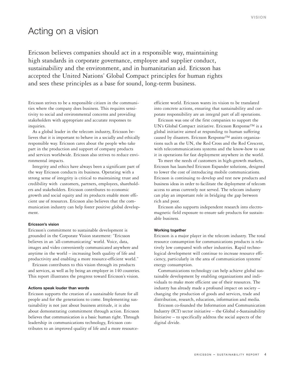## Acting on a vision

Ericsson believes companies should act in a responsible way, maintaining high standards in corporate governance, employee and supplier conduct, sustainability and the environment, and in humanitarian aid. Ericsson has accepted the United Nations' Global Compact principles for human rights and sees these principles as a base for sound, long-term business.

Ericsson strives to be a responsible citizen in the communities where the company does business. This requires sensitivity to social and environmental concerns and providing stakeholders with appropriate and accurate responses to inquiries.

As a global leader in the telecom industry, Ericsson believes that it is important to behave in a socially and ethically responsible way. Ericsson cares about the people who take part in the production and support of company products and services worldwide. Ericsson also strives to reduce environmental impacts.

Integrity and ethics have always been a significant part of the way Ericsson conducts its business. Operating with a strong sense of integrity is critical to maintaining trust and credibility with customers, partners, employees, shareholders and stakeholders. Ericsson contributes to economic growth and social equity and its products enable more efficient use of resources. Ericsson also believes that the communication industry can help foster positive global development.

## **Ericsson's vision**

Ericsson's commitment to sustainable development is grounded in the Corporate Vision statement: "Ericsson believes in an 'all-communicating' world. Voice, data, images and video conveniently communicated anywhere and anytime in the world – increasing both quality of life and productivity and enabling a more resource-efficient world."

Ericsson contributes to this vision through its products and services, as well as by being an employer in 140 countries. This report illustrates the progress toward Ericsson's vision.

#### **Actions speak louder than words**

Ericsson supports the creation of a sustainable future for all people and for the generations to come. Implementing sustainability is not just about business attitude, it is also about demonstrating commitment through action. Ericsson believes that communication is a basic human right. Through leadership in communications technology, Ericsson contributes to an improved quality of life and a more resourceefficient world. Ericsson wants its vision to be translated into concrete actions, ensuring that sustainability and corporate responsibility are an integral part of all operations.

Ericsson was one of the first companies to support the UN's Global Compact initiative. Ericsson Response™ is a global initiative aimed at responding to human suffering caused by disasters. Ericsson Response™ assists organizations such as the UN, the Red Cross and the Red Crescent, with telecommunications systems and the know-how to use it in operations for fast deployment anywhere in the world.

To meet the needs of customers in high-growth markets, Ericsson has launched Ericsson Expander solutions, designed to lower the cost of introducing mobile communications. Ericsson is continuing to develop and test new products and business ideas in order to facilitate the deployment of telecom access to areas currently not served. The telecom industry can play an important role in bridging the gap between rich and poor.

Ericsson also supports independent research into electromagnetic field exposure to ensure safe products for sustainable business.

## **Working together**

Ericsson is a major player in the telecom industry. The total resource consumption for communications products is relatively low compared with other industries. Rapid technological development will continue to increase resource efficiency, particularly in the area of communication systems' energy consumption.

Communications technology can help achieve global sustainable development by enabling organizations and individuals to make more efficient use of their resources. The industry has already made a profound impact on society – changing the production of goods and services, trade and distribution, research, education, information and media.

Ericsson co-founded the Information and Communication Industry (ICT) sector initiative – the Global e-Sustainability Initiative – to specifically address the social aspects of the digital divide.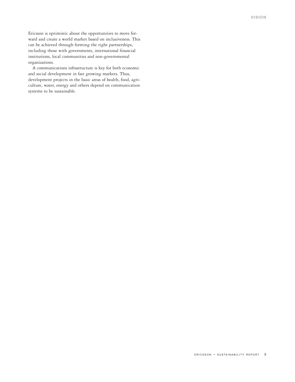Ericsson is optimistic about the opportunities to move forward and create a world market based on inclusiveness. This can be achieved through forming the right partnerships, including those with governments, international financial institutions, local communities and non-governmental organizations.

A communications infrastructure is key for both economic and social development in fast growing markets. Thus, development projects in the basic areas of health, food, agriculture, water, energy and others depend on communication systems to be sustainable.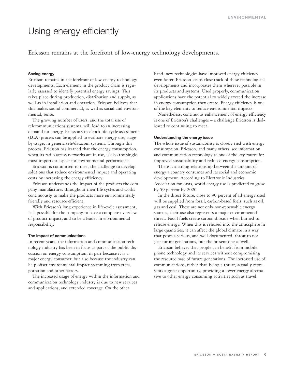## Using energy efficiently

Ericsson remains at the forefront of low-energy technology developments.

## **Saving energy**

Ericsson remains in the forefront of low-energy technology developments. Each element in the product chain is regularly assessed to identify potential energy savings. This takes place during production, distribution and supply, as well as in installation and operation. Ericsson believes that this makes sound commercial, as well as social and environmental, sense.

The growing number of users, and the total use of telecommunications systems, will lead to an increasing demand for energy. Ericsson's in-depth life-cycle assessment (LCA) process can be applied to evaluate energy use, stageby-stage, in generic tele/datacom systems. Through this process, Ericsson has learned that the energy consumption, when its radio access networks are in use, is also the single most important aspect for environmental performance.

Ericsson is committed to meet the challenge to develop solutions that reduce environmental impact and operating costs by increasing the energy efficiency.

Ericsson understands the impact of the products the company manufactures throughout their life cycles and works continuously to make the products more environmentally friendly and resource efficient.

With Ericsson's long experience in life-cycle assessment, it is possible for the company to have a complete overview of product impact, and to be a leader in environmental responsibility.

## **The impact of communications**

In recent years, the information and communication technology industry has been in focus as part of the public discussion on energy consumption, in part because it is a major energy consumer, but also because the industry can help offset environmental impact stemming from transportation and other factors.

The increased usage of energy within the information and communication technology industry is due to new services and applications, and extended coverage. On the other

hand, new technologies have improved energy efficiency even faster. Ericsson keeps close track of these technological developments and incorporates them wherever possible in its products and systems. Used properly, communication applications have the potential to widely exceed the increase in energy consumption they create. Energy efficiency is one of the key elements to reduce environmental impacts.

Nonetheless, continuous enhancement of energy efficiency is one of Ericsson's challenges – a challenge Ericsson is dedicated to continuing to meet.

## **Understanding the energy issue**

The whole issue of sustainability is closely tied with energy consumption. Ericsson, and many others, see information and communication technology as one of the key routes for improved sustainability and reduced energy consumption.

There is a strong relationship between the amount of energy a country consumes and its social and economic development. According to Electronic Industries Association forecasts, world energy use is predicted to grow by 59 percent by 2020.

In the direct future, close to 90 percent of all energy used will be supplied from fossil, carbon-based fuels, such as oil, gas and coal. These are not only non-renewable energy sources, their use also represents a major environmental threat. Fossil fuels create carbon dioxide when burned to release energy. When this is released into the atmosphere in large quantities, it can affect the global climate in a way that poses a serious, and well-documented, threat to not just future generations, but the present one as well.

Ericsson believes that people can benefit from mobile phone technology and its services without compromising the resource base of future generations. The increased use of communications, rather than being a threat, actually represents a great opportunity, providing a lower energy alternative to other energy consuming activities such as travel.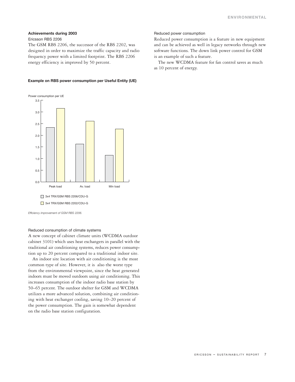## **Achievements during 2003**

#### Ericsson RBS 2206

The GSM RBS 2206, the successor of the RBS 2202, was designed in order to maximize the traffic capacity and radio frequency power with a limited footprint. The RBS 2206 energy efficiency is improved by 50 percent.

## $0.0$ 0.5 1.0 1.5 2.0 2.5 3.0 3.5 3x4 TRX/GSM RBS 2206/CDU-G 3x4 TRX/GSM RBS 2202/CDU-G Peak load Av. load Min load Power consumption per UE

## **Example on RBS power consumption per Useful Entity (UE)**

*Efficiency improvement of GSM RBS 2206.*

## Reduced consumption of climate systems

A new concept of cabinet climate units (WCDMA outdoor cabinet 3101) which uses heat exchangers in parallel with the traditional air conditioning systems, reduces power consumption up to 20 percent compared to a traditional indoor site.

An indoor site location with air conditioning is the most common type of site. However, it is also the worst type from the environmental viewpoint, since the heat generated indoors must be moved outdoors using air conditioning. This increases consumption of the indoor radio base station by 50–65 percent. The outdoor shelter for GSM and WCDMA utilizes a more advanced solution, combining air conditioning with heat exchanger cooling, saving 10–20 percent of the power consumption. The gain is somewhat dependent on the radio base station configuration.

### Reduced power consumption

Reduced power consumption is a feature in new equipment and can be achieved as well in legacy networks through new software functions. The down link power control for GSM is an example of such a feature.

The new WCDMA feature for fan control saves as much as 10 percent of energy.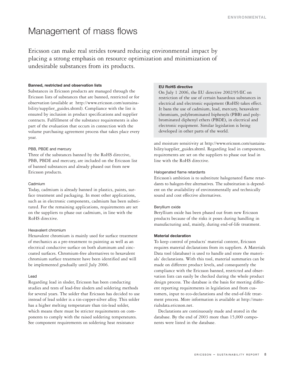## Management of mass flows

Ericsson can make real strides toward reducing environmental impact by placing a strong emphasis on resource optimization and minimization of undesirable substances from its products.

### **Banned, restricted and observation lists**

Substances in Ericsson products are managed through the Ericsson lists of substances that are banned, restricted or for observation (available at http://www.ericsson.com/sustainability/supplier\_guides.shtml). Compliance with the list is ensured by inclusion in product specifications and supplier contracts. Fulfillment of the substance requirements is also part of the evaluation that occurs in connection with the volume purchasing agreement process that takes place every year.

## PBB, PBDE and mercury

Three of the substances banned by the RoHS directive, PBB, PBDE and mercury, are included on the Ericsson list of banned substances and already phased out from new Ericsson products.

## Cadmium

Today, cadmium is already banned in plastics, paints, surface treatment and packaging. In most other applications, such as in electronic components, cadmium has been substituted. For the remaining applications, requirements are set on the suppliers to phase out cadmium, in line with the RoHS directive.

## Hexavalent chromium

Hexavalent chromium is mainly used for surface treatment of mechanics as a pre-treatment to painting as well as an electrical conductive surface on both aluminum and zinccoated surfaces. Chromium-free alternatives to hexavalent chromium surface treatment have been identified and will be implemented gradually until July 2006.

#### Lead

Regarding lead in sloder, Ericsson has been conducting studies and tests of lead-free sloders and soldering methods for several years. The solder that Ericsson has decided to use instead of lead solder is a tin-copper-silver alloy. This solder has a higher melting temperature than tin-lead solder, which means there must be stricter requirements on components to comply with the raised soldering temperatures. See component requirements on soldering heat resistance

## **EU RoHS directive**

On July 1 2006, the EU directive 2002/95/EC on restriction of the use of certain hazardous substances in electrical and electronic equipment (RoHS) takes effect. It bans the use of cadmium, lead, mercury, hexavalent chromium, polybrominated biphenyls (PBB) and polybrominated diphenyl ethers (PBDE), in electrical and electronic equipment. Similar legislation is being developed in other parts of the world.

and moisture sensitivity at http://www.ericsson.com/sustainability/supplier\_guides.shtml. Regarding lead in components, requirements are set on the suppliers to phase out lead in line with the RoHS directive.

## Halogenated flame retardants

Ericsson's ambition is to substitute halogenated flame retardants to halogen-free alternatives. The substitution is dependent on the availability of environmentally and technically sound and cost effective alternatives.

## Beryllium oxide

Beryllium oxide has been phased out from new Ericsson products because of the risks it poses during handling in manufacturing and, mainly, during end-of-life treatment.

## **Material declaration**

To keep control of products' material content, Ericsson requires material declarations from its suppliers. A Materials Data tool (database) is used to handle and store the materials' declarations. With this tool, material summaries can be made on different product levels, and consequently the compliance with the Ericsson banned, restricted and observation lists can easily be checked during the whole product design process. The database is the basis for meeting different reporting requirements in legislation and from customers, input to eco-declarations and the end-of-life treatment process. More information is available at http://materialsdata.ericsson.net.

Declarations are continuously made and stored in the database. By the end of 2003 more than 15,000 components were listed in the database.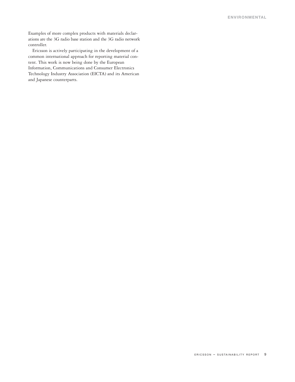Examples of more complex products with materials declarations are the 3G radio base station and the 3G radio network controller.

Ericsson is actively participating in the development of a common international approach for reporting material content. This work is now being done by the European Information, Communications and Consumer Electronics Technology Industry Association (EICTA) and its American and Japanese counterparts.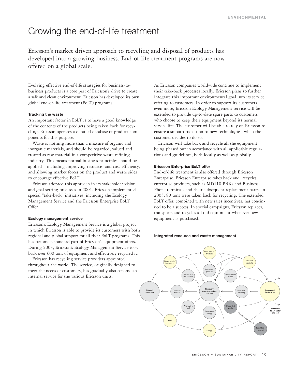## Growing the end-of-life treatment

Ericsson's market driven approach to recycling and disposal of products has developed into a growing business. End-of-life treatment programs are now offered on a global scale.

Evolving effective end-of-life strategies for business-tobusiness products is a core part of Ericsson's drive to create a safe and clean environment. Ericsson has developed its own global end-of-life treatment (EoLT) programs.

#### **Tracking the waste**

An important factor in EoLT is to have a good knowledge of the contents of the products being taken back for recycling. Ericsson operates a detailed database of product components for this purpose.

Waste is nothing more than a mixture of organic and inorganic materials, and should be regarded, valued and treated as raw material in a competitive waste-refining industry. This means normal business principles should be applied – including improving resource- and cost-efficiency, and allowing market forces on the product and waste sides to encourage effective EoLT.

Ericsson adopted this approach in its stakeholder vision and goal setting processes in 2001. Ericsson implemented special "take-back" initiatives, including the Ecology Management Service and the Ericsson Enterprise EoLT Offer.

#### **Ecology management service**

Ericsson's Ecology Management Service is a global project in which Ericsson is able to provide its customers with both regional and global support for all their EoLT programs. This has become a standard part of Ericsson's equipment offers. During 2003, Ericsson's Ecology Management Service took back over 600 tons of equipment and effectively recycled it.

Ericsson has recycling service providers appointed throughout the world. The service, originally designed to meet the needs of customers, has gradually also become an internal service for the various Ericsson units.

As Ericsson companies worldwide continue to implement their take-back processes locally, Ericsson plans to further integrate this important environmental goal into its service offering to customers. In order to support its customers even more, Ericsson Ecology Management service will be extended to provide up-to-date spare parts to customers who choose to keep their equipment beyond its normal service life. The customer will be able to rely on Ericsson to ensure a smooth transition to new technologies, when the customer decides to do so.

Ericsson will take back and recycle all the equipment being phased out in accordance with all applicable regulations and guidelines, both locally as well as globally.

## **Ericsson Enterprise EoLT offer**

End-of-life treatment is also offered through Ericsson Enterprise. Ericsson Enterprise takes back and recycles enterprise products, such as MD110 PBXs and Business-Phone terminals and their subsequent replacement parts. In 2003, 80 tons were taken back for recycling. The extended EoLT offer, combined with new sales incentives, has continued to be a success. In special campaigns, Ericsson replaces, transports and recycles all old equipment whenever new equipment is purchased.

## **Integrated recource and waste management**

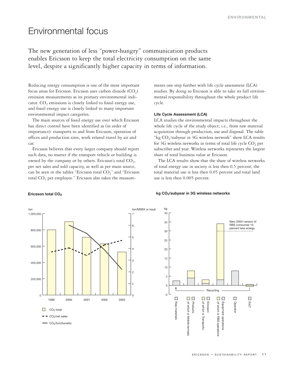## Environmental focus

The new generation of less "power-hungry" communication products enables Ericsson to keep the total electricity consumption on the same level, despite a significantly higher capacity in terms of information.

Reducing energy consumption is one of the most important focus areas for Ericsson. Ericsson uses carbon dioxide  $(CO<sub>2</sub>)$ emission measurements as its primary environmental indicator.  $CO<sub>2</sub>$  emissions is closely linked to fossil energy use, and fossil energy use is closely linked to many important environmental impact categories.

The main sources of fossil energy use over which Ericsson has direct control have been identified as (in order of importance): transports to and from Ericsson, operation of offices and production sites, work related travel by air and car.

Ericsson believes that every larger company should report such data, no matter if the transport vehicle or building is owned by the company or by others. Ericsson's total  $CO<sub>2</sub>$ , per net sales and sold capacity, as well as per main source, can be seen in the tables "Ericsson total  $CO_2$ " and "Ericsson total  $CO<sub>2</sub>$  per employee." Ericsson also takes the measurements one step further with life cycle assessment (LCA) studies. By doing so Ericsson is able to take its full environmental responsibility throughout the whole product life cycle.

#### **Life Cycle Assessment (LCA)**

LCA studies the environmental impacts throughout the whole life cycle of the study object; i.e., from raw material acquisition through production, use and disposal. The table "kg  $CO<sub>2</sub>/subyear$  in 3G wireless network" show LCA results for 3G wireless networks in terms of total life cycle  $CO<sub>2</sub>$  per subscriber and year. Wireless networks represents the largest share of total business value at Ericsson.

The LCA results show that the share of wireless networks of total energy use in society is less then 0.5 percent, the total material use is less then 0.05 percent and total land use is less then 0.005 percent.

#### **kg CO2/subyear in 3G wireless networks**



#### **Ericsson total CO<sub>2</sub>**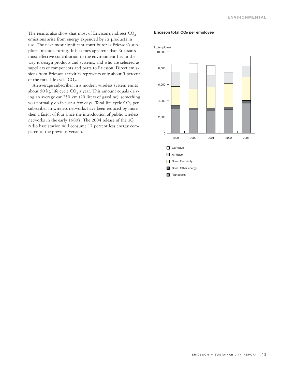The results also show that most of Ericsson's indirect  $CO<sub>2</sub>$ emissions arise from energy expended by its products in use. The next most significant contributor is Ericsson's suppliers' manufacturing. It becomes apparent that Ericsson's most effective contribution to the environment lies in the way it design products and systems, and who are selected as suppliers of components and parts to Ericsson. Direct emissions from Ericsson activities represents only about 5 percent of the total life cycle  $CO<sub>2</sub>$ .

An average subscriber in a modern wireless system emits about 50 kg life cycle  $CO<sub>2</sub>$  a year. This amount equals driving an average car 250 km (20 liters of gasoline), something you normally do in just a few days. Total life cycle  $CO<sub>2</sub>$  per subscriber in wireless networks have been reduced by more then a factor of four since the introduction of public wireless networks in the early 1980's. The 2004 release of the 3G radio base station will consume 17 percent less energy compared to the previous version.

#### **Ericsson total CO2 per employee**

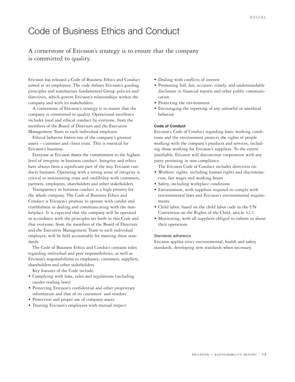## Code of Business Ethics and Conduct

## A cornerstone of Ericsson's strategy is to ensure that the company is committed to quality.

Ericsson has released a Code of Business Ethics and Conduct aimed at its employees. The code defines Ericsson's guiding principles and summarizes fundamental Group policies and directives, which govern Ericsson's relationships within the company and with its stakeholders.

A cornerstone of Ericsson's strategy is to ensure that the company is committed to quality. Operational excellence includes loyal and ethical conduct by everyone, from the members of the Board of Directors and the Executive Management Team to each individual employee.

Ethical behavior fosters one of the company's greatest assets – customer and client trust. This is essential for Ericsson's business.

Everyone at Ericsson shares the commitment to the highest level of integrity in business conduct. Integrity and ethics have always been a significant part of the way Ericsson conducts business. Operating with a strong sense of integrity is critical to maintaining trust and credibility with customers, partners, employees, shareholders and other stakeholders.

Transparency in business conduct is a high priority for the whole company. The Code of Business Ethics and Conduct is Ericsson's promise to operate with candor and truthfulness in dealing and communicating with the marketplace. It is expected that the company will be operated in accordance with the principles set forth in this Code and that everyone, from the members of the Board of Directors and the Executive Management Team to each individual employee, will be held accountable for meeting these standards.

The Code of Business Ethics and Conduct contains rules regarding individual and peer responsibilities, as well as Ericsson's responsibilities to employees, customers, suppliers, shareholders and other stakeholders.

Key features of the Code include:

- Complying with laws, rules and regulations (including insider trading laws)
- Protecting Ericsson's confidential and other proprietary information and that of its customers' and vendors'
- Protection and proper use of company assets
- Treating Ericsson's employees with mutual respect
- Dealing with conflicts of interest
- Promoting full, fair, accurate, timely, and understandable disclosure in financial reports and other public communication
- Protecting the environment
- Encouraging the reporting of any unlawful or unethical behavior

#### **Code of Conduct**

Ericsson's Code of Conduct regarding basic working conditions and the environment protects the rights of people working with the company's products and services, including those working for Ericsson's suppliers. To the extent justifiable, Ericsson will discontinue cooperation with any party persisting in non-compliance.

The Ericsson Code of Conduct includes directives on:

- Workers' rights, including human rights and discrimination, fair wages and working hours
- Safety, including workplace conditions
- Environment, with suppliers required to comply with environmental laws and Ericsson's environmental requirements
- Child labor, based on the child labor code in the UN Convention on the Rights of the Child, article 32.1
- Monitoring, with all suppliers obliged to inform us about their operations

## Standards adherence

Ericsson applies strict environmental, health and safety standards, developing new standards when necessary.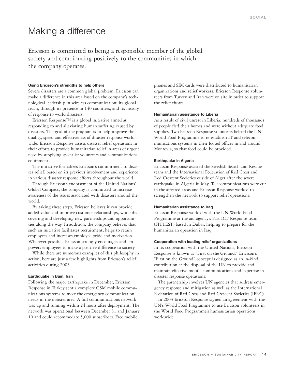## Making a difference

Ericsson is committed to being a responsible member of the global society and contributing positively to the communities in which the company operates.

## **Using Ericsson's strengths to help others**

Severe disasters are a common global problem. Ericsson can make a difference in this area based on the company's technological leadership in wireless communication; its global reach, through its presence in 140 countries; and its history of response to world disasters.

Ericsson Response™ is a global initiative aimed at responding to and alleviating human suffering caused by disasters. The goal of the program is to help improve the quality, speed and effectiveness of disaster response worldwide. Ericsson Response assists disaster relief operations in their efforts to provide humanitarian relief in areas of urgent need by supplying specialist volunteers and communications equipment.

The initiative formalizes Ericsson's commitment to disaster relief, based on its previous involvement and experience in various disaster response efforts throughout the world.

Through Ericsson's endorsement of the United Nations' Global Compact, the company is committed to increase awareness of the issues associated with disasters around the world.

By taking these steps, Ericsson believes it can provide added value and improve customer relationships, while discovering and developing new partnerships and opportunities along the way. In addition, the company believes that such an initiative facilitates recruitment, helps to retain employees and increases employee pride and motivation. Wherever possible, Ericsson strongly encourages and empowers employees to make a positive difference to society.

While there are numerous examples of this philosophy in action, here are just a few highlights from Ericsson's relief activities during 2003.

#### **Earthquake in Bam, Iran**

Following the major earthquake in December, Ericsson Response in Turkey sent a complete GSM mobile communications systems to meet the emergency communication needs in the disaster area. A full communications network was up and running within 24 hours after deployment. The network was operational between December 31 and January 10 and could accommodate 5,000 subscribers. Free mobile

phones and SIM cards were distributed to humanitarian organizations and relief workers. Ericsson Response volunteers from Turkey and Iran were on site in order to support the relief efforts.

## **Humanitarian assistance to Liberia**

As a result of civil unrest in Liberia, hundreds of thousands of people fled their homes and were without adequate food supplies. Two Ericsson Response volunteers helped the UN World Food Programme to re-establish IT and telecommunications systems in their looted offices in and around Monrovia, so that food could be provided.

#### **Earthquake in Algeria**

Ericsson Response assisted the Swedish Search and Rescue team and the International Federation of Red Cross and Red Crescent Societies ouside of Alger after the severe earthquake in Algeria in May. Telecommunications were cut in the affected areas and Ericsson Response worked to strengthen the network to support relief operations.

### **Humanitarian assistance to Iraq**

Ericsson Response worked with the UN World Food Programme at the aid agency's Fast ICT Response team (FITTEST) based in Dubai, helping to prepare for the humanitarian operation in Iraq.

#### **Cooperation with leading relief organizations**

In its cooperation with the United Nations, Ericsson Response is known as "First on the Ground." Ericsson's "First on the Ground" concept is designed as an in-kind contribution at the disposal of the UN to provide and maintain effective mobile communications and expertise in disaster response operations.

The partnership involves UN agencies that address emergency response and mitigation as well as the International Federation of Red Cross and Red Crescent Societies (IFRC).

In 2003 Ericsson Response signed an agreement with the UN's World Food Programme to use Ericsson volunteers in the World Food Programme's humanitarian operations worldwide.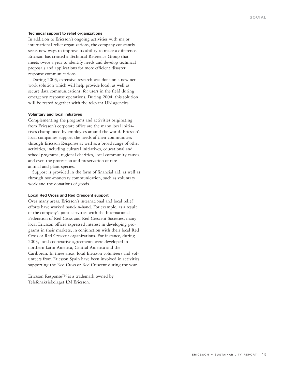### **Technical support to relief organizations**

In addition to Ericsson's ongoing activities with major international relief organizations, the company constantly seeks new ways to improve its ability to make a difference. Ericsson has created a Technical Reference Group that meets twice a year to identify needs and develop technical proposals and applications for more efficient disaster response communications.

During 2003, extensive research was done on a new network solution which will help provide local, as well as secure data communications, for users in the field during emergency response operations. During 2004, this solution will be tested together with the relevant UN agencies.

#### **Voluntary and local initiatives**

Complementing the programs and activities originating from Ericsson's corporate office are the many local initiatives championed by employees around the world. Ericsson's local companies support the needs of their communities through Ericsson Response as well as a broad range of other activities, including cultural initiatives, educational and school programs, regional charities, local community causes, and even the protection and preservation of rare animal and plant species.

Support is provided in the form of financial aid, as well as through non-monetary communication, such as voluntary work and the donations of goods.

### **Local Red Cross and Red Crescent support**

Over many areas, Ericsson's international and local relief efforts have worked hand-in-hand. For example, as a result of the company's joint activities with the International Federation of Red Cross and Red Crescent Societies, many local Ericsson offices expressed interest in developing programs in their markets, in conjunction with their local Red Cross or Red Crescent organizations. For instance, during 2003, local cooperative agreements were developed in northern Latin America, Central America and the Caribbean. In these areas, local Ericsson volunteers and volunteers from Ericsson Spain have been involved in activities supporting the Red Cross or Red Crescent during the year.

Ericsson Response™ is a trademark owned by Telefonaktiebolaget LM Ericsson.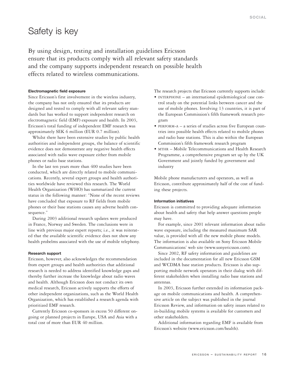## Safety is key

By using design, testing and installation guidelines Ericsson ensure that its products comply with all relevant safety standards and the company supports independent research on possible health effects related to wireless communications.

#### **Electromagnetic field exposure**

Since Ericsson's first involvement in the wireless industry, the company has not only ensured that its products are designed and tested to comply with all relevant safety standards but has worked to support independent research on electromagnetic field (EMF) exposure and health. In 2003, Ericsson's total funding of independent EMF research was approximately SEK 6 million (EUR 0.7 million).

Whilst there have been extensive studies by public health authorities and independent groups, the balance of scientific evidence does not demonstrate any negative health effects associated with radio wave exposure either from mobile phones or radio base stations.

In the last ten years more than 400 studies have been conducted, which are directly related to mobile communications. Recently, several expert groups and health authorities worldwide have reviewed this research. The World Health Organization (WHO) has summarized the current status in the following manner: "None of the recent reviews have concluded that exposure to RF fields from mobile phones or their base stations causes any adverse health consequence."

During 2003 additional research updates were produced in France, Norway and Sweden. The conclusions were in line with previous major expert reports; i.e., it was reiterated that the available scientific evidence does not show any health probelms associated with the use of mobile telephony.

#### **Research support**

Ericsson, however, also acknowledges the recommendation from expert groups and health authorities that additional research is needed to address identified knowledge gaps and thereby further increase the knowledge about radio waves and health. Although Ericsson does not conduct its own medical research, Ericsson actively supports the efforts of other independent organizations, such as the World Health Organization, which has established a research agenda with prioritized EMF research.

Currently Ericsson co-sponsors in excess 50 different ongoing or planned projects in Europe, USA and Asia with a total cost of more than EUR 40 million.

The research projects that Ericsson currently supports include:

- INTERPHONE an international epidemiological case control study on the potential links between cancer and the use of mobile phones. Involving 13 countries, it is part of the European Commission's fifth framework research program
- PERFORM-A a series of studies across five European countries into possible health effects related to mobile phones and radio base stations. This is also within the European Commission's fifth framework research program
- MTHR Mobile Telecommunications and Health Research Programme, a comprehensive program set up by the UK Government and jointly funded by government and industry

Mobile phone manufacturers and operators, as well as Ericsson, contribute approximately half of the cost of funding these projects.

### **Information initiatives**

Ericsson is committed to providing adequate information about health and safety that help answer questions people may have.

For example, since 2001 relevant information about radio wave exposure, including the measured maximum SAR value, is provided with all the new mobile phone models. The information is also available on Sony Ericsson Mobile Communications' web site (www.sonyericsson.com).

Since 2002, RF safety information and guidelines are included in the documentation for all new Ericsson GSM and WCDMA base station products. Ericsson is also supporting mobile network operators in their dialog with different stakeholders when installing radio base stations and antennas.

In 2003, Ericsson further extended its information package on mobile communications and health. A comprehensive article on the subject was published in the journal Ericsson Review, and information on safety issues related to in-building mobile systems is available for customers and other stakeholders.

Additional information regarding EMF is available from Ericsson's website (www.ericsson.com/health).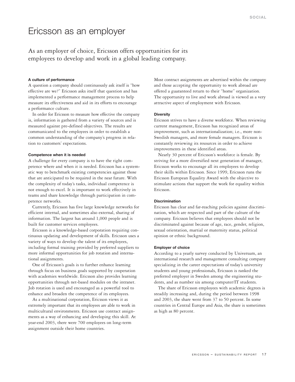## Ericsson as an employer

As an employer of choice, Ericsson offers opportunities for its employees to develop and work in a global leading company.

## **A culture of performance**

A question a company should continuously ask itself is "how effective are we?" Ericsson asks itself that question and has implemented a performance management process to help measure its effectiveness and aid in its efforts to encourage a performance culture.

In order for Ericsson to measure how effective the company is, information is gathered from a variety of sources and is measured against pre-defined objectives. The results are communicated to the employees in order to establish a common understanding of the company's progress in relation to customers' expectations.

#### **Competence when it is needed**

A challenge for every company is to have the right competence where and when it is needed. Ericsson has a systematic way to benchmark existing competencies against those that are anticipated to be required in the near future. With the complexity of today's tasks, individual competence is not enough to excel. It is important to work effectively in teams and share knowledge through participation in competence networks.

Currently, Ericsson has five large knowledge networks for efficient internal, and sometimes also external, sharing of information. The largest has around 1,000 people and is built for customer services employees.

Ericsson is a knowledge-based corporation requiring continuous updating and development of skills. Ericsson uses a variety of ways to develop the talent of its employees, including formal training provided by preferred suppliers to more informal opportunities for job rotation and international assignments.

One of Ericsson's goals is to further enhance learning through focus on business goals supported by cooperation with academies worldwide. Ericsson also provides learning opportunities through net-based modules on the intranet. Job rotation is used and encouraged as a powerful tool to enhance and broaden the competence of its employees.

As a multinational corporation, Ericsson views it as extremely important that its employees are able to work in multicultural environments. Ericsson use contract assignments as a way of enhancing and developing this skill. At year-end 2003, there were 700 employees on long-term assignment outside their home countries.

Most contract assignments are advertised within the company and those accepting the opportunity to work abroad are offered a guaranteed return to their "home" organization. The opportunity to live and work abroad is viewed as a very attractive aspect of employment with Ericsson.

#### **Diversity**

Ericsson strives to have a diverse workforce. When reviewing current management, Ericsson has recognized areas of improvement, such as internationalization; i.e., more non-Swedish managers, and more female managers. Ericsson is constantly reviewing its resources in order to achieve improvements in these identified areas.

Nearly 30 percent of Ericsson's workforce is female. By striving for a more diversified next generation of manager, Ericsson works to encourage all its employees to develop their skills within Ericsson. Since 1999, Ericsson runs the Ericsson European Equality Award with the objective to stimulate actions that support the work for equality within Ericsson.

## **Discrimination**

Ericsson has clear and far-reaching policies against discrimination, which are respected and part of the culture of the company. Ericsson believes that employees should not be discriminated against because of age, race, gender, religion, sexual orientation, martial or maternity status, political opinion or ethnic background.

## **Employer of choice**

According to a yearly survey conducted by Universum, an international research and management consulting company specializing in the career expectations of today's university students and young professionals, Ericsson is ranked the preferred employer in Sweden among the engineering students, and as number six among computer/IT students.

The share of Ericsson employees with academic degrees is steadily increasing and, during the period between 1998 and 2003, the share went from 37 to 50 percent. In some countries in Central Europe and Asia, the share is sometimes as high as 80 percent.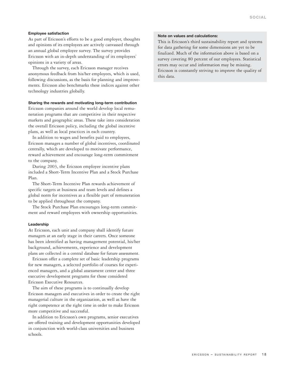### **Employee satisfaction**

As part of Ericsson's efforts to be a good employer, thoughts and opinions of its employees are actively canvassed through an annual global employee survey. The survey provides Ericsson with an in-depth understanding of its employees' opinions in a variety of areas.

Through the survey, each Ericsson manager receives anonymous feedback from his/her employees, which is used, following discussions, as the basis for planning and improvements. Ericsson also benchmarks these indices against other technology industries globally.

## **Sharing the rewards and motivating long-term contribution**

Ericsson companies around the world develop local remuneration programs that are competitive in their respective markets and geographic areas. These take into consideration the overall Ericsson policy, including the global incentive plans, as well as local practices in each country.

In addition to wages and benefits paid to employees, Ericsson manages a number of global incentives, coordinated centrally, which are developed to motivate performance, reward achievement and encourage long-term commitment to the company.

During 2003, the Ericsson employee incentive plans included a Short-Term Incentive Plan and a Stock Purchase Plan.

The Short-Term Incentive Plan rewards achievement of specific targets at business and team levels and defines a global norm for incentives as a flexible part of remuneration to be applied throughout the company.

The Stock Purchase Plan encourages long-term commitment and reward employees with ownership opportunities.

#### **Leadership**

At Ericsson, each unit and company shall identify future managers at an early stage in their careers. Once someone has been identified as having management potential, his/her background, achievements, experience and development plans are collected in a central database for future assessment.

Ericsson offer a complete set of basic leadership programs for new managers, a selected portfolio of courses for experienced managers, and a global assessment center and three executive development programs for those considered Ericsson Executive Resources.

The aim of these programs is to continually develop Ericsson managers and executives in order to create the right managerial culture in the organization, as well as have the right competence at the right time in order to make Ericsson more competitive and successful.

In addition to Ericsson's own programs, senior executives are offered training and development opportunities developed in conjunction with world-class universities and business schools.

## **Note on values and calculations:**

This is Ericsson's third sustainability report and systems for data gathering for some dimensions are yet to be finalized. Much of the information above is based on a survey covering 80 percent of our employees. Statistical errors may occur and information may be missing. Ericsson is constantly striving to improve the quality of this data.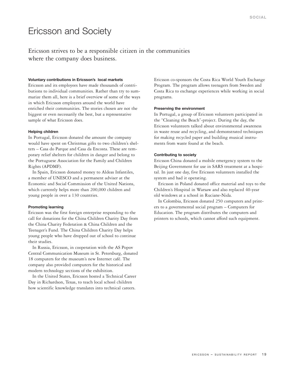## Ericsson and Society

Ericsson strives to be a responsible citizen in the communities where the company does business.

## **Voluntary contributions in Ericsson's local markets**

Ericsson and its employees have made thousands of contributions to individual communities. Rather than try to summarize them all, here is a brief overview of some of the ways in which Ericsson employees around the world have enriched their communities. The stories chosen are not the biggest or even necessarily the best, but a representative sample of what Ericsson does.

#### **Helping children**

In Portugal, Ericsson donated the amount the company would have spent on Christmas gifts to two children's shelters – Casa do Parque and Casa da Encosta. These are temporary relief shelters for children in danger and belong to the Portuguese Association for the Family and Children Rights (APDMF).

In Spain, Ericsson donated money to Aldeas Infantiles, a member of UNESCO and a permanent adviser at the Economic and Social Commission of the United Nations, which currently helps more than 200,000 children and young people in over a 130 countries.

#### **Promoting learning**

Ericsson was the first foreign enterprise responding to the call for donations for the China Children Charity Day from the China Charity Federation & China Children and the Teenager's Fund. The China Children Charity Day helps young people who have dropped out of school to continue their studies.

In Russia, Ericsson, in cooperation with the AS Popov Central Communication Museum in St. Petersburg, donated 18 computers for the museum's new Internet café. The company also provided computers for the historical and modern technology sections of the exhibition.

In the United States, Ericsson hosted a Technical Career Day in Richardson, Texas, to teach local school children how scientific knowledge translates into technical careers.

Ericsson co-sponsors the Costa Rica World Youth Exchange Program. The program allows teenagers from Sweden and Costa Rica to exchange experiences while working in social programs.

### **Preserving the environment**

In Portugal, a group of Ericsson volunteers participated in the "Cleaning the Beach"-project. During the day, the Ericsson volunteers talked about environmental awareness in waste reuse and recycling, and demonstrated techniques for making recycled paper and building musical instruments from waste found at the beach.

#### **Contributing to society**

Ericsson China donated a mobile emergency system to the Beijing Government for use in SARS treatment at a hospital. In just one day, five Ericsson volunteers installed the system and had it operating.

Ericsson in Poland donated office material and toys to the Children's Hospital in Warsaw and also replaced 40-year old windows at a school in Ruciane-Nida.

In Colombia, Ericsson donated 250 computers and printers to a governmental social program – Computers for Education. The program distributes the computers and printers to schools, which cannot afford such equipment.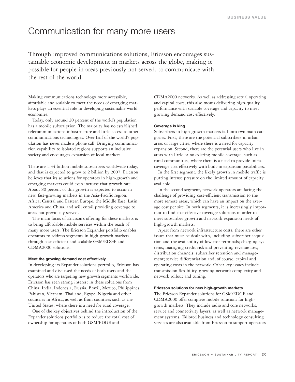## Communication for many more users

Through improved communications solutions, Ericsson encourages sustainable economic development in markets across the globe, making it possible for people in areas previously not served, to communicate with the rest of the world.

Making communications technology more accessible, affordable and scalable to meet the needs of emerging markets plays an essential role in developing sustainable world economies.

Today, only around 20 percent of the world's population has a mobile subscription. The majority has no established telecommunications infrastructure and little access to other communications technologies. Over half of the world's population has never made a phone call. Bringing communication capability to isolated regions supports an inclusive society and encourages expansion of local markets.

There are 1.34 billion mobile subscribers worldwide today, and that is expected to grow to 2 billion by 2007. Ericsson believes that its solutions for operators in high-growth and emerging markets could even increase that growth rate. About 80 percent of this growth is expected to occur in new, fast-growing markets in the Asia-Pacific region, Africa, Central and Eastern Europe, the Middle East, Latin America and China, and will entail providing coverage to areas not previously served.

The main focus of Ericsson's offering for these markets is to bring affordable mobile services within the reach of many more users. The Ericsson Expander portfolio enables operators to address segments in high-growth markets through cost-efficient and scalable GSM/EDGE and CDMA2000 solutions.

#### **Meet the growing demand cost effectively**

In developing its Expander solutions portfolio, Ericsson has examined and discussed the needs of both users and the operators who are targeting new growth segments worldwide. Ericsson has seen strong interest in these solutions from China, India, Indonesia, Russia, Brazil, Mexico, Philippines, Pakistan, Vietnam, Thailand, Egypt, Nigeria and other countries in Africa, as well as from countries such as the United States, where there is a need for rural coverage.

One of the key objectives behind the introduction of the Expander solutions portfolio is to reduce the total cost of ownership for operators of both GSM/EDGE and

CDMA2000 networks. As well as addressing actual operating and capital costs, this also means delivering high-quality performance with scalable coverage and capacity to meet growing demand cost effectively.

#### **Coverage is king**

Subscribers in high-growth markets fall into two main categories. First, there are the potential subscribers in urban areas or large cities, where there is a need for capacity expansion. Second, there are the potential users who live in areas with little or no existing mobile coverage, such as rural communities, where there is a need to provide initial coverage cost effectively with built-in expansion possibilities.

In the first segment, the likely growth in mobile traffic is putting intense pressure on the limited amount of capacity available.

In the second segment, network operators are facing the challenge of providing cost-efficient transmission to the more remote areas, which can have an impact on the average cost per site. In both segments, it is increasingly important to find cost effective coverage solutions in order to meet subscriber growth and network expansion needs of high-growth markets.

Apart from network infrastructure costs, there are other issues that must be dealt with, including subscriber acquisition and the availability of low cost terminals; charging systems; managing credit risk and preventing revenue loss; distribution channels; subscriber retention and management; service differentiation and, of course, capital and operating costs in the network. Other key issues include transmission flexibility, growing network complexity and network rollout and tuning.

## **Ericsson solutions for new high-growth markets**

The Ericsson Expander solutions for GSM/EDGE and CDMA2000 offer complete mobile solutions for highgrowth markets. They include radio and core networks, service and connectivity layers, as well as network management systems. Tailored business and technology consulting services are also available from Ericsson to support operators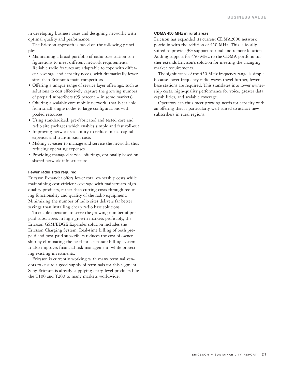in developing business cases and designing networks with optimal quality and performance.

The Ericsson approach is based on the following principles:

- Maintaining a broad portfolio of radio base station configurations to meet different network requirements. Reliable radio features are adaptable to cope with different coverage and capacity needs, with dramatically fewer sites than Ericsson's main competitors
- Offering a unique range of service layer offerings, such as solutions to cost effectively capture the growing number of prepaid subscribers (95 percent + in some markets)
- Offering a scalable core mobile network, that is scalable from small single nodes to large configurations with pooled resources
- Using standardized, pre-fabricated and tested core and radio site packages which enables simple and fast roll-out
- Improving network scalability to reduce initial capital expenses and transmission costs
- Making it easier to manage and service the network, thus reducing operating expenses
- Providing managed service offerings, optionally based on shared network infrastructure

## **Fewer radio sites required**

Ericsson Expander offers lower total ownership costs while maintaining cost-efficient coverage with mainstream highquality products, rather than cutting costs through reducing functionality and quality of the radio equipment. Minimizing the number of radio sites delivers far better savings than installing cheap radio base solutions.

To enable operators to serve the growing number of prepaid subscribers in high-growth markets profitably, the Ericsson GSM/EDGE Expander solution includes the Ericsson Charging System. Real-time billing of both prepaid and post-paid subscribers reduces the cost of ownership by eliminating the need for a separate billing system. It also improves financial risk management, while protecting existing investments.

Ericsson is currently working with many terminal vendors to ensure a good supply of terminals for this segment. Sony Ericsson is already supplying entry-level products like the T100 and T200 to many markets worldwide.

## **CDMA 450 MHz in rural areas**

Ericsson has expanded its current CDMA2000 network portfolio with the addition of 450 MHz. This is ideally suited to provide 3G support to rural and remote locations. Adding support for 450 MHz to the CDMA portfolio further extends Ericsson's solution for meeting the changing market requirements.

The significance of the 450 MHz frequency range is simple: because lower-frequency radio waves travel further, fewer base stations are required. This translates into lower ownership costs, high-quality performance for voice, greater data capabilities, and scalable coverage.

Operators can thus meet growing needs for capacity with an offering that is particularly well-suited to attract new subscribers in rural regions.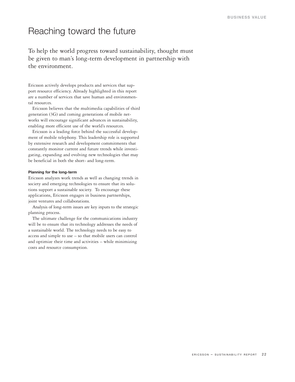## Reaching toward the future

To help the world progress toward sustainability, thought must be given to man's long-term development in partnership with the environment.

Ericsson actively develops products and services that support resource efficiency. Already highlighted in this report are a number of services that save human and environmental resources.

Ericsson believes that the multimedia capabilities of third generation (3G) and coming generations of mobile networks will encourage significant advances in sustainability, enabling more efficient use of the world's resources.

Ericsson is a leading force behind the successful development of mobile telephony. This leadership role is supported by extensive research and development commitments that constantly monitor current and future trends while investigating, expanding and evolving new technologies that may be beneficial in both the short- and long-term.

## **Planning for the long-term**

Ericsson analyzes work trends as well as changing trends in society and emerging technologies to ensure that its solutions support a sustainable society. To encourage these applications, Ericsson engages in business partnerships, joint ventures and collaborations.

Analysis of long-term issues are key inputs to the strategic planning process.

The ultimate challenge for the communications industry will be to ensure that its technology addresses the needs of a sustainable world. The technology needs to be easy to access and simple to use – so that mobile users can control and optimize their time and activities – while minimizing costs and resource consumption.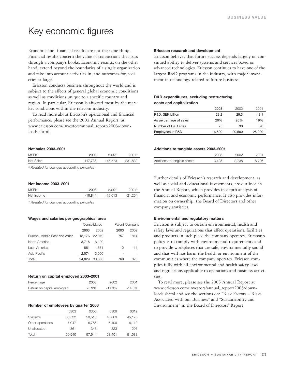## Key economic figures

Economic and financial results are not the same thing. Financial results concern the value of transactions that pass through a company's books. Economic results, on the other hand, extend beyond the boundaries of a single organization and take into account activities in, and outcomes for, societies at large.

Ericsson conducts business throughout the world and is subject to the effects of general global economic conditions as well as conditions unique to a specific country and region. In particular, Ericsson is affected most by the market conditions within the telecom industry.

To read more about Ericsson's operational and financial performance, please see the 2003 Annual Report at www.ericsson.com/investors/annual\_report/2003/downloads.shtml.

### **Net sales 2003–2001**

| <b>MSEK</b> | 2003    | $2002$ <sup>1)</sup> | $2001$ <sup>1)</sup> |
|-------------|---------|----------------------|----------------------|
| Net Sales   | 117,738 | 145,773              | 231.839              |
|             |         |                      |                      |

*1) Restated for changed accounting principles*

#### **Net income 2003–2001**

| <b>MSEK</b> | 2003      | 20021     | 2001'     |
|-------------|-----------|-----------|-----------|
| Net Income  | $-10.844$ | $-19.013$ | $-21.264$ |

*1) Restated for changed accounting principles*

#### **Wages and salaries per geographical area**

|                                | Consolidated |               |      | Parent Company |
|--------------------------------|--------------|---------------|------|----------------|
|                                | 2003         | 2002          | 2003 | 2002           |
| Europe, Middle East and Africa |              | 18.176 22.979 | 757  | 814            |
| North America                  | 3.718        | 6.100         |      |                |
| Latin America                  | 861          | 1.571         | 12   | 11             |
| Asia Pacific                   | 2.074        | 3.000         |      |                |
| Total                          | 24.829       | 33.650        | 769  | 825            |

### **Return on capital employed 2003–2001**

| Percentage                 | 2003     | 2002      | 2001      |
|----------------------------|----------|-----------|-----------|
| Return on capital employed | $-5.9\%$ | $-11.3\%$ | $-14.3\%$ |

#### **Number of employees by quarter 2003**

|                  | 0303   | 0306   | 0309   | 0312   |
|------------------|--------|--------|--------|--------|
| Systems          | 53,532 | 50,510 | 46,669 | 45,176 |
| Other operations | 7.047  | 6.786  | 6,409  | 6,110  |
| Unallocated      | 361    | 348    | 323    | 297    |
| Total            | 60.940 | 57.644 | 53,401 | 51,583 |

#### **Ericsson research and development**

Ericsson believes that future success depends largely on continued ability to deliver systems and services based on advanced technologies. Ericsson continues to have one of the largest R&D programs in the industry, with major investment in technology related to future business.

## **R&D expenditures, excluding restructuring costs and capitalization**

|                        | 2003   | 2002   | 2001   |
|------------------------|--------|--------|--------|
| R&D, SEK billion       | 23.2   | 29.3   | 43.1   |
| As percentage of sales | 20%    | 20%    | 19%    |
| Number of R&D sites    | 25     | 30     | 70     |
| Employees in R&D       | 16.500 | 20,500 | 25,200 |

#### **Additions to tangible assets 2003–2001**

|                              | 2003  | 2002  | 2001  |
|------------------------------|-------|-------|-------|
| Additions to tangible assets | 3.493 | 2.738 | 8.726 |

Further details of Ericsson's research and development, as well as social and educational investments, are outlined in the Annual Report, which provides in-depth analysis of financial and economic performance. It also provides information on ownership, the Board of Directors and other company statistics.

#### **Environmental and regulatory matters**

Ericsson is subject to certain environmental, health and safety laws and regulations that affect operations, facilities and products in each place the company operates. Ericsson's policy is to comply with environmental requirements and to provide workplaces that are safe, environmentally sound and that will not harm the health or environment of the communities where the company operates. Ericsson complies fully with all environmental and health safety laws and regulations applicable to operations and business activities.

To read more, please see the 2003 Annual Report at www.ericsson.com/investors/annual\_report/2003/downloads.shtml and see the sections on: "Risk Factors – Risks Associated with our Business" and "Sustainability and Environment" in the Board of Directors' Report.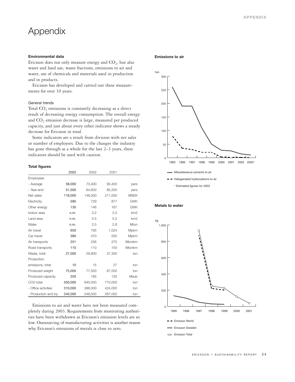## Appendix

## **Environmental data**

Ericsson does not only measure energy and  $CO<sub>2</sub>$ , but also water and land use, waste fractions, emissions to air and water, use of chemicals and materials used in production and in products.

Ericsson has developed and carried out these measurements for over 10 years.

## General trends

Total  $CO<sub>2</sub>$  emissions is constantly decreasing as a direct result of decreasing energy consumption. The overall energy and CO<sub>2</sub> emission decrease is large, measured per produced capacity, and just about every other indicator shows a steady decrease for Ericsson in total.

Some indicators are a result from division with net sales or number of employees. Due to the changes the industry has gone through as a whole for the last 2–3 years, these indicators should be used with caution.

## **Total figures**

|                      | 2003    | 2002    | 2001    |        |
|----------------------|---------|---------|---------|--------|
| Employees            |         |         |         |        |
| - Average            | 58,000  | 73,400  | 95,400  | pers   |
| - Year-end           | 51,500  | 64,600  | 85,200  | pers   |
| Net sales            | 118,000 | 146,000 | 211,000 | MSEK   |
| Electricity          | 580     | 729     | 877     | GWh    |
| Other energy         | 130     | 146     | 167     | GWh    |
| Indoor area          | n.m.    | 3.2     | 3.3     | km2    |
| Land area            | n.m.    | 5.5     | 5.2     | km2    |
| Water                | n.m.    | 2.5     | 2.8     | Mton   |
| Air travel           | 650     | 795     | 1,024   | Mpkm   |
| Car travel           | 380     | 470     | 550     | Mpkm   |
| Air transports       | 251     | 256     | 275     | Mtonkm |
| Road transports      | 110     | 110     | 150     | Mtonkm |
| Waste, total         | 27,000  | 29,900  | 37,300  | ton    |
| Production           |         |         |         |        |
| emissions, total     | 10      | 15      | 27      | ton    |
| Produced weight      | 75,000  | 77,500  | 87,500  | ton    |
| Produced capacity    | 250     | 165     | 135     | Msub   |
| CO2-total            | 550,000 | 640,000 | 710,000 | ton    |
| - Office activities  | 310,000 | 386,000 | 424,000 | ton    |
| - Production and trp | 240,000 | 248,000 | 287,000 | ton    |

Emissions to air and water have not been measured completely during 2003. Requirements from monitoring authorities have been withdrawn as Ericsson's emission levels are so low. Outsourcing of manufacturing activities is another reason why Ericsson's emissions of metals is close to zero.

## **Emissions to air**



## **Metals to water**

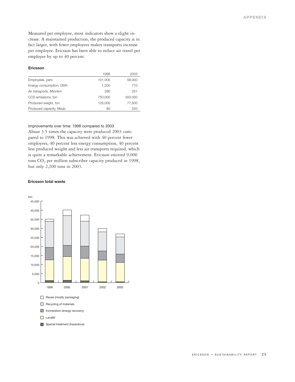Measured per employee, most indicators show a slight increase. A maintained production, the produced capacity is in fact larger, with fewer employees makes transports increase per employee. Ericsson has been able to reduce air travel per employee by up to 40 percent.

## **Ericsson**

|                         | 1998    | 2003    |
|-------------------------|---------|---------|
| Employees, pers         | 101,000 | 58,000  |
| Energy consumption, GWh | 1.200   | 710     |
| Air transports, Mtonkm  | 290     | 251     |
| CO2-emissions, ton      | 750,000 | 550,000 |
| Produced weight, ton    | 125,000 | 77,500  |
| Produced capacity, Msub | 80      | 250     |

## Improvements over time: 1998 compared to 2003

About 3.5 times the capacity were produced 2003 compared to 1998. This was achieved with 40 percent fewer employees, 40 percent less energy consumption, 40 percent less produced weight and less air transports required, which is quite a remarkable achievement. Ericsson emitted 9,000 tons  $CO<sub>2</sub>$  per million subscriber capacity produced in 1998, but only 2,200 tons in 2003.

#### **Ericsson total waste**

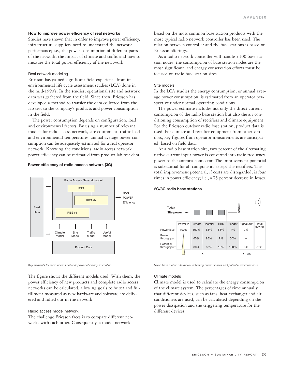### **How to improve power efficiency of real networks**

Studies have shown that in order to improve power efficiency, infrastructure suppliers need to understand the network performance; i.e., the power consumption of different parts of the network, the impact of climate and traffic and how to measure the total power efficiency of the newtwork.

## Real network modeling

Ericsson has gained significant field experience from its environmental life cycle assessment studies (LCA) done in the mid-1990's. In the studies, operational site and network data was gathered from the field. Since then, Ericsson has developed a method to transfer the data collected from the lab test to the company's products and power consumption in the field.

The power consumption depends on configuration, load and environmental factors. By using a number of relevant models for radio access network, site equipment, traffic load and environmental temperatures, annual average power consumption can be adequately estimated for a real operator network. Knowing the conditions, radio access network power efficiency can be estimated from product lab test data.

## **Power efficiency of radio access network (3G)**



*Key elements for radio access network power efficiency estimation*

The figure shows the different models used. With them, the power efficiency of new products and complete radio access networks can be calculated, allowing goals to be set and fulfillment measured as new hardware and software are delivered and rolled out in the network.

## Radio access model network

The challenge Ericsson faces is to compare different networks with each other. Consequently, a model network

based on the most common base station products with the most typical radio network controller has been used. The relation between controller and the base stations is based on Ericsson offerings.

As a radio network controller will handle >100 base station nodes, the consumption of base station nodes are the most significant, and energy conservation efforts must be focused on radio base station sites.

## Site models

In the LCA studies the energy consumption, or annual average power consumption, is estimated from an operator perspective under normal operating conditions.

The power estimate includes not only the direct current consumption of the radio base station but also the air conditioning consumption of rectifiers and climate equipment. For the Ericsson outdoor radio base station, product data is used. For climate and rectifier equipment from other vendors, key figures from operator measurements are anticipated, based on field data.

At a radio base station site, two percent of the alternating native current input power is converted into radio frequency power to the antenna connector. The improvement potential is substantial for all components except the rectifiers. The total improvement potential, if costs are disregarded, is four times in power efficiency; i.e., a 75 percent decrease in losses.



## **2G/3G radio base stations**

*Radio base station site model indicating current losses and potential improvements.*

### Climate models

Climate model is used to calculate the energy consumption of the climate system. The percentages of time annually that different devices, such as fans, heat exchanger and air conditioners are used, can be calculated depending on the power dissipation and the triggering temperature for the different devices.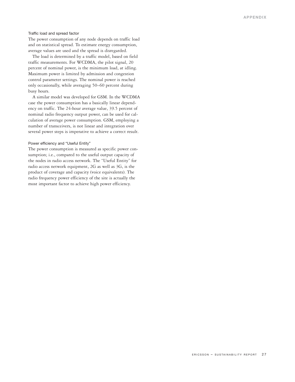## Traffic load and spread factor

The power consumption of any node depends on traffic load and on statistical spread. To estimate energy consumption, average values are used and the spread is disregarded.

The load is determined by a traffic model, based on field traffic measurements. For WCDMA, the pilot signal, 20 percent of nominal power, is the minimum load, at idling. Maximum power is limited by admission and congestion control parameter settings. The nominal power is reached only occasionally, while averaging 50–60 percent during busy hours.

A similar model was developed for GSM. In the WCDMA case the power consumption has a basically linear dependency on traffic. The 24-hour average value, 39.5 percent of nominal radio frequency output power, can be used for calculation of average power consumption. GSM, employing a number of transceivers, is not linear and integration over several power steps is imperative to achieve a correct result.

#### Power efficiency and "Useful Entity"

The power consumption is measured as specific power consumption; i.e., compared to the useful output capacity of the nodes in radio access network. The "Useful Entity" for radio access network equipment, 2G as well as 3G, is the product of coverage and capacity (voice equivalents). The radio frequency power efficiency of the site is actually the most important factor to achieve high power efficiency.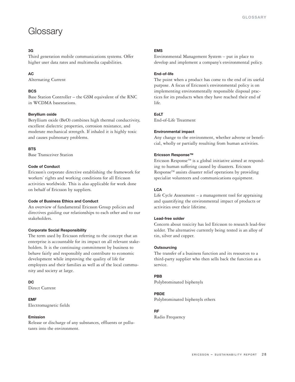## **Glossary**

## **3G**

Third generation mobile communications systems. Offer higher user data rates and multimedia capabilities.

## **AC**

Alternating Current

## **BCS**

Base Station Controller – the GSM equivalent of the RNC in WCDMA basestations.

## **Beryllium oxide**

Beryllium oxide (BeO) combines high thermal conductivity, excellent dielectric properties, corrosion resistance, and moderate mechanical strength. If inhaled it is highly toxic and causes pulmonary problems.

## **BTS**

Base Transceiver Station

## **Code of Conduct**

Ericsson's corporate directive establishing the framework for workers' rights and working conditions for all Ericsson activities worldwide. This is also applicable for work done on behalf of Ericsson by suppliers.

## **Code of Business Ethics and Conduct**

An overview of fundamental Ericsson Group policies and directives guiding our relationships to each other and to our stakeholders.

## **Corporate Social Responsibility**

The term used by Ericsson referring to the concept that an enterprise is accountable for its impact on all relevant stakeholders. It is the continuing commitment by business to behave fairly and responsibly and contribute to economic development while improving the quality of life for employees and their families as well as of the local community and society at large.

## **DC**

Direct Current

## **EMF**

Electromagnetic fields

## **Emission**

Release or discharge of any substances, effluents or pollutants into the environment.

## **EMS**

Environmental Management System – put in place to develop and implement a company's environmental policy.

## **End-of-life**

The point when a product has come to the end of its useful purpose. A focus of Ericsson's environmental policy is on implementing environmentally responsible disposal practices for its products when they have reached their end of life.

## **EoLT**

End-of-Life Treatment

## **Environmental impact**

Any change to the environment, whether adverse or beneficial, wholly or partially resulting from human activities.

## **Ericsson Response™**

Ericsson ResponseTM is a global initiative aimed at responding to human suffering caused by disasters. Ericsson Response<sup>TM</sup> assists disaster relief operations by providing specialist volunteers and communications equipment.

## **LCA**

Life Cycle Assessment – a management tool for appraising and quantifying the environmental impact of products or activities over their lifetime.

## **Lead-free solder**

Concern about toxicity has led Ericsson to research lead-free solder. The alternative currently being tested is an alloy of tin, silver and copper.

## **Outsourcing**

The transfer of a business function and its resources to a third-party supplier who then sells back the function as a service.

## **PBB**

Polybrominated biphenyls

## **PBDE**

Polybrominated biphenyls ethers

## **RF**

Radio Frequency